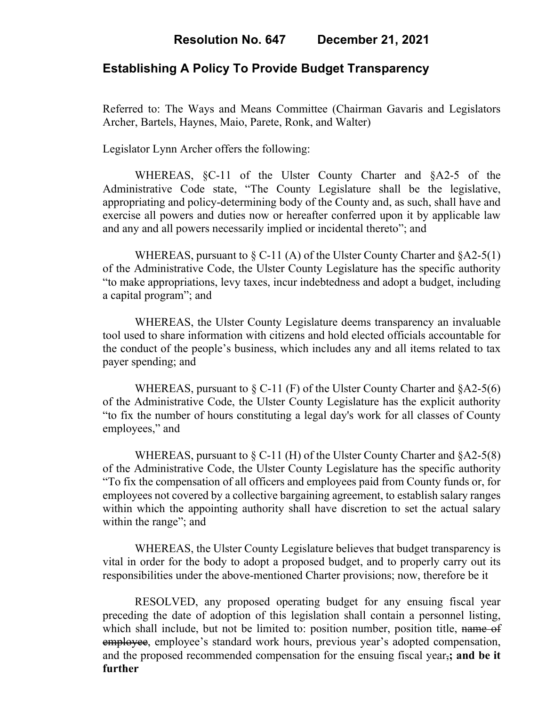## **Resolution No. 647 December 21, 2021**

# **Establishing A Policy To Provide Budget Transparency**

Referred to: The Ways and Means Committee (Chairman Gavaris and Legislators Archer, Bartels, Haynes, Maio, Parete, Ronk, and Walter)

Legislator Lynn Archer offers the following:

WHEREAS, §C-11 of the Ulster County Charter and §A2-5 of the Administrative Code state, "The County Legislature shall be the legislative, appropriating and policy-determining body of the County and, as such, shall have and exercise all powers and duties now or hereafter conferred upon it by applicable law and any and all powers necessarily implied or incidental thereto"; and

WHEREAS, pursuant to  $\S$  C-11 (A) of the Ulster County Charter and  $\S$ A2-5(1) of the Administrative Code, the Ulster County Legislature has the specific authority "to make appropriations, levy taxes, incur indebtedness and adopt a budget, including a capital program"; and

WHEREAS, the Ulster County Legislature deems transparency an invaluable tool used to share information with citizens and hold elected officials accountable for the conduct of the people's business, which includes any and all items related to tax payer spending; and

WHEREAS, pursuant to  $\S$  C-11 (F) of the Ulster County Charter and  $\S$ A2-5(6) of the Administrative Code, the Ulster County Legislature has the explicit authority "to fix the number of hours constituting a legal day's work for all classes of County employees," and

WHEREAS, pursuant to  $\S$  C-11 (H) of the Ulster County Charter and  $\S$ A2-5(8) of the Administrative Code, the Ulster County Legislature has the specific authority "To fix the compensation of all officers and employees paid from County funds or, for employees not covered by a collective bargaining agreement, to establish salary ranges within which the appointing authority shall have discretion to set the actual salary within the range"; and

WHEREAS, the Ulster County Legislature believes that budget transparency is vital in order for the body to adopt a proposed budget, and to properly carry out its responsibilities under the above-mentioned Charter provisions; now, therefore be it

RESOLVED, any proposed operating budget for any ensuing fiscal year preceding the date of adoption of this legislation shall contain a personnel listing, which shall include, but not be limited to: position number, position title, name of employee, employee's standard work hours, previous year's adopted compensation, and the proposed recommended compensation for the ensuing fiscal year,**; and be it further**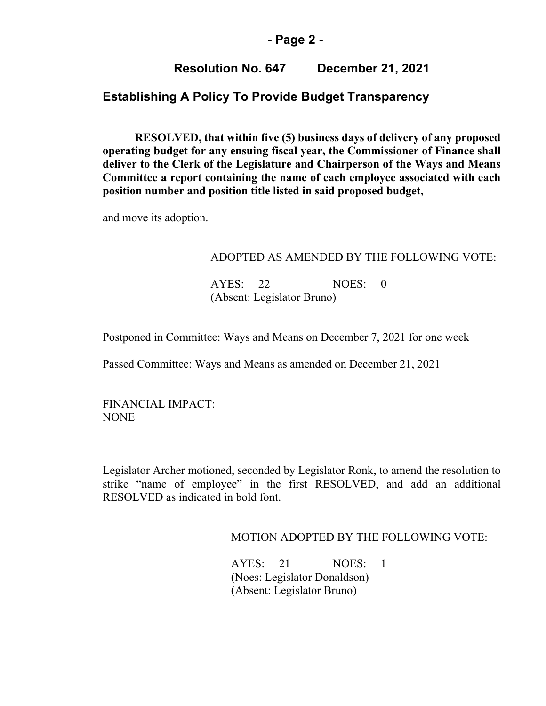### **- Page 2 -**

## **Resolution No. 647 December 21, 2021**

# **Establishing A Policy To Provide Budget Transparency**

**RESOLVED, that within five (5) business days of delivery of any proposed operating budget for any ensuing fiscal year, the Commissioner of Finance shall deliver to the Clerk of the Legislature and Chairperson of the Ways and Means Committee a report containing the name of each employee associated with each position number and position title listed in said proposed budget,**

and move its adoption.

#### ADOPTED AS AMENDED BY THE FOLLOWING VOTE:

 AYES: 22 NOES: 0 (Absent: Legislator Bruno)

Postponed in Committee: Ways and Means on December 7, 2021 for one week

Passed Committee: Ways and Means as amended on December 21, 2021

FINANCIAL IMPACT: NONE

Legislator Archer motioned, seconded by Legislator Ronk, to amend the resolution to strike "name of employee" in the first RESOLVED, and add an additional RESOLVED as indicated in bold font.

### MOTION ADOPTED BY THE FOLLOWING VOTE:

AYES: 21 NOES: 1 (Noes: Legislator Donaldson) (Absent: Legislator Bruno)